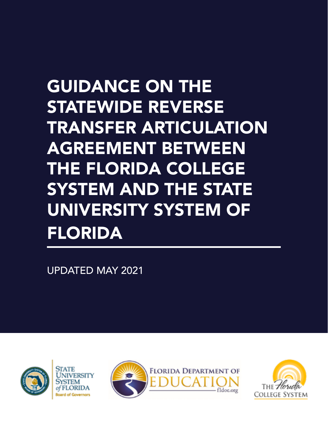# GUIDANCE ON THE STATEWIDE REVERSE TRANSFER ARTICULATION AGREEMENT BETWEEN THE FLORIDA COLLEGE SYSTEM AND THE STATE UNIVERSITY SYSTEM OF FLORIDA

UPDATED MAY 2021





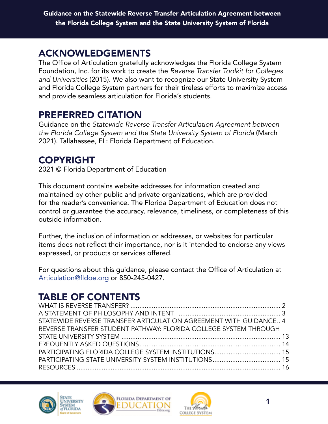#### ACKNOWLEDGEMENTS

The Office of Articulation gratefully acknowledges the Florida College System Foundation, Inc. for its work to create the *Reverse Transfer Toolkit for Colleges and Universities* (2015). We also want to recognize our State University System and Florida College System partners for their tireless efforts to maximize access and provide seamless articulation for Florida's students.

#### PREFERRED CITATION

Guidance on the *Statewide Reverse Transfer Articulation Agreement between the Florida College System and the State University System of Florida* (March 2021). Tallahassee, FL: Florida Department of Education.

## COPYRIGHT

2021 © Florida Department of Education

This document contains website addresses for information created and maintained by other public and private organizations, which are provided for the reader's convenience. The Florida Department of Education does not control or guarantee the accuracy, relevance, timeliness, or completeness of this outside information.

Further, the inclusion of information or addresses, or websites for particular items does not reflect their importance, nor is it intended to endorse any views expressed, or products or services offered.

For questions about this guidance, please contact the Office of Articulation at [Articulation@fldoe.org](mailto:Articulation@fldoe.org) or 850-245-0427.

# TABLE OF CONTENTS

| STATEWIDE REVERSE TRANSFER ARTICULATION AGREEMENT WITH GUIDANCE 4 |  |
|-------------------------------------------------------------------|--|
| REVERSE TRANSFER STUDENT PATHWAY: FLORIDA COLLEGE SYSTEM THROUGH  |  |
|                                                                   |  |
|                                                                   |  |
|                                                                   |  |
|                                                                   |  |
|                                                                   |  |





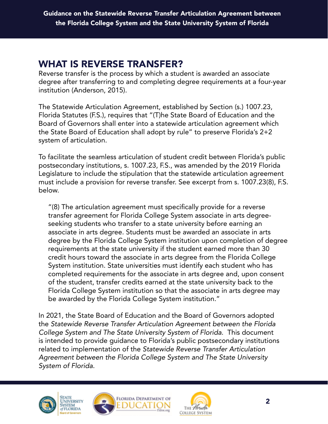## <span id="page-2-0"></span>WHAT IS REVERSE TRANSFER?

Reverse transfer is the process by which a student is awarded an associate degree after transferring to and completing degree requirements at a four-year institution (Anderson, 2015).

The Statewide Articulation Agreement, established by Section (s.) 1007.23, Florida Statutes (F.S.), requires that "(T)he State Board of Education and the Board of Governors shall enter into a statewide articulation agreement which the State Board of Education shall adopt by rule" to preserve Florida's 2+2 system of articulation.

To facilitate the seamless articulation of student credit between Florida's public postsecondary institutions, s. 1007.23, F.S., was amended by the 2019 Florida Legislature to include the stipulation that the statewide articulation agreement must include a provision for reverse transfer. See excerpt from s. 1007.23(8), F.S. below.

"(8) The articulation agreement must specifically provide for a reverse transfer agreement for Florida College System associate in arts degreeseeking students who transfer to a state university before earning an associate in arts degree. Students must be awarded an associate in arts degree by the Florida College System institution upon completion of degree requirements at the state university if the student earned more than 30 credit hours toward the associate in arts degree from the Florida College System institution. State universities must identify each student who has completed requirements for the associate in arts degree and, upon consent of the student, transfer credits earned at the state university back to the Florida College System institution so that the associate in arts degree may be awarded by the Florida College System institution."

In 2021, the State Board of Education and the Board of Governors adopted the *Statewide Reverse Transfer Articulation Agreement between the Florida College System and The State University System of Florida*. This document is intended to provide guidance to Florida's public postsecondary institutions related to implementation of the *Statewide Reverse Transfer Articulation Agreement between the Florida College System and The State University System of Florida.* 





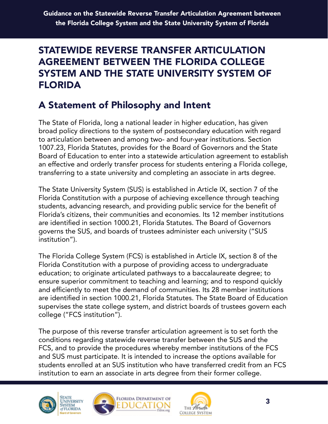## <span id="page-3-0"></span>STATEWIDE REVERSE TRANSFER ARTICULATION AGREEMENT BETWEEN THE FLORIDA COLLEGE SYSTEM AND THE STATE UNIVERSITY SYSTEM OF FLORIDA

# A Statement of Philosophy and Intent

The State of Florida, long a national leader in higher education, has given broad policy directions to the system of postsecondary education with regard to articulation between and among two- and four-year institutions. Section 1007.23, Florida Statutes, provides for the Board of Governors and the State Board of Education to enter into a statewide articulation agreement to establish an effective and orderly transfer process for students entering a Florida college, transferring to a state university and completing an associate in arts degree.

The State University System (SUS) is established in Article IX, section 7 of the Florida Constitution with a purpose of achieving excellence through teaching students, advancing research, and providing public service for the benefit of Florida's citizens, their communities and economies. Its 12 member institutions are identified in section 1000.21, Florida Statutes. The Board of Governors governs the SUS, and boards of trustees administer each university ("SUS institution").

The Florida College System (FCS) is established in Article IX, section 8 of the Florida Constitution with a purpose of providing access to undergraduate education; to originate articulated pathways to a baccalaureate degree; to ensure superior commitment to teaching and learning; and to respond quickly and efficiently to meet the demand of communities. Its 28 member institutions are identified in section 1000.21, Florida Statutes. The State Board of Education supervises the state college system, and district boards of trustees govern each college ("FCS institution").

The purpose of this reverse transfer articulation agreement is to set forth the conditions regarding statewide reverse transfer between the SUS and the FCS, and to provide the procedures whereby member institutions of the FCS and SUS must participate. It is intended to increase the options available for students enrolled at an SUS institution who have transferred credit from an FCS institution to earn an associate in arts degree from their former college.







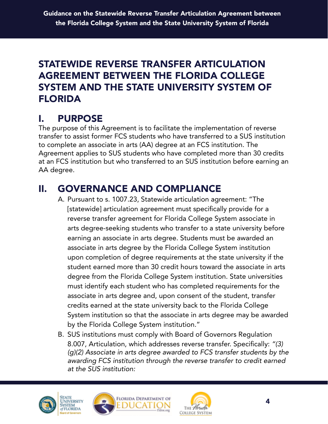#### STATEWIDE REVERSE TRANSFER ARTICULATION AGREEMENT BETWEEN THE FLORIDA COLLEGE SYSTEM AND THE STATE UNIVERSITY SYSTEM OF FLORIDA

# I. PURPOSE

The purpose of this Agreement is to facilitate the implementation of reverse transfer to assist former FCS students who have transferred to a SUS institution to complete an associate in arts (AA) degree at an FCS institution. The Agreement applies to SUS students who have completed more than 30 credits at an FCS institution but who transferred to an SUS institution before earning an AA degree.

# II. GOVERNANCE AND COMPLIANCE

- A. Pursuant to s. 1007.23, Statewide articulation agreement: "The [statewide] articulation agreement must specifically provide for a reverse transfer agreement for Florida College System associate in arts degree-seeking students who transfer to a state university before earning an associate in arts degree. Students must be awarded an associate in arts degree by the Florida College System institution upon completion of degree requirements at the state university if the student earned more than 30 credit hours toward the associate in arts degree from the Florida College System institution. State universities must identify each student who has completed requirements for the associate in arts degree and, upon consent of the student, transfer credits earned at the state university back to the Florida College System institution so that the associate in arts degree may be awarded by the Florida College System institution."
- B. SUS institutions must comply with Board of Governors Regulation 8.007, Articulation, which addresses reverse transfer. Specifically: *"(3) (g)(2) Associate in arts degree awarded to FCS transfer students by the awarding FCS institution through the reverse transfer to credit earned at the SUS institution:*





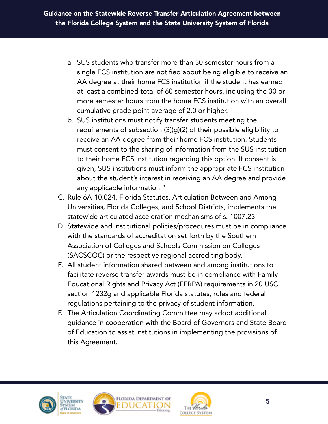- a. SUS students who transfer more than 30 semester hours from a single FCS institution are notified about being eligible to receive an AA degree at their home FCS institution if the student has earned at least a combined total of 60 semester hours, including the 30 or more semester hours from the home FCS institution with an overall cumulative grade point average of 2.0 or higher.
- b. SUS institutions must notify transfer students meeting the requirements of subsection (3)(g)(2) of their possible eligibility to receive an AA degree from their home FCS institution. Students must consent to the sharing of information from the SUS institution to their home FCS institution regarding this option. If consent is given, SUS institutions must inform the appropriate FCS institution about the student's interest in receiving an AA degree and provide any applicable information."
- C. Rule 6A-10.024, Florida Statutes, Articulation Between and Among Universities, Florida Colleges, and School Districts, implements the statewide articulated acceleration mechanisms of s. 1007.23.
- D. Statewide and institutional policies/procedures must be in compliance with the standards of accreditation set forth by the Southern Association of Colleges and Schools Commission on Colleges (SACSCOC) or the respective regional accrediting body.
- E. All student information shared between and among institutions to facilitate reverse transfer awards must be in compliance with Family Educational Rights and Privacy Act (FERPA) requirements in 20 USC section 1232g and applicable Florida statutes, rules and federal regulations pertaining to the privacy of student information.
- F. The Articulation Coordinating Committee may adopt additional guidance in cooperation with the Board of Governors and State Board of Education to assist institutions in implementing the provisions of this Agreement.







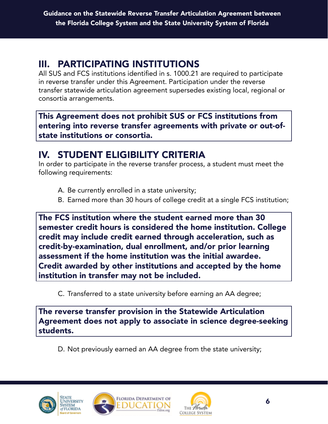# III. PARTICIPATING INSTITUTIONS

All SUS and FCS institutions identified in s. 1000.21 are required to participate in reverse transfer under this Agreement. Participation under the reverse transfer statewide articulation agreement supersedes existing local, regional or consortia arrangements.

This Agreement does not prohibit SUS or FCS institutions from entering into reverse transfer agreements with private or out-ofstate institutions or consortia.

# IV. STUDENT ELIGIBILITY CRITERIA

In order to participate in the reverse transfer process, a student must meet the following requirements:

- A. Be currently enrolled in a state university;
- B. Earned more than 30 hours of college credit at a single FCS institution;

The FCS institution where the student earned more than 30 semester credit hours is considered the home institution. College credit may include credit earned through acceleration, such as credit-by-examination, dual enrollment, and/or prior learning assessment if the home institution was the initial awardee. Credit awarded by other institutions and accepted by the home institution in transfer may not be included.

C. Transferred to a state university before earning an AA degree;

The reverse transfer provision in the Statewide Articulation Agreement does not apply to associate in science degree-seeking students.

D. Not previously earned an AA degree from the state university;





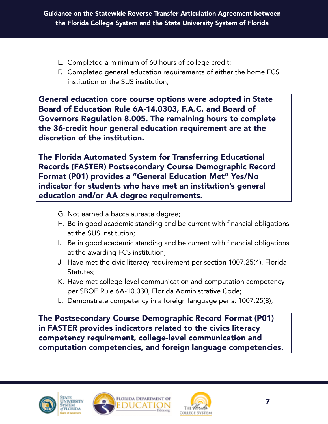- E. Completed a minimum of 60 hours of college credit;
- F. Completed general education requirements of either the home FCS institution or the SUS institution;

General education core course options were adopted in State Board of Education Rule 6A-14.0303, F.A.C. and Board of Governors Regulation 8.005. The remaining hours to complete the 36-credit hour general education requirement are at the discretion of the institution.

The Florida Automated System for Transferring Educational Records (FASTER) Postsecondary Course Demographic Record Format (P01) provides a "General Education Met" Yes/No indicator for students who have met an institution's general education and/or AA degree requirements.

- G. Not earned a baccalaureate degree;
- H. Be in good academic standing and be current with financial obligations at the SUS institution;
- I. Be in good academic standing and be current with financial obligations at the awarding FCS institution;
- J. Have met the civic literacy requirement per section 1007.25(4), Florida Statutes;
- K. Have met college-level communication and computation competency per SBOE Rule 6A-10.030, Florida Administrative Code;
- L. Demonstrate competency in a foreign language per s. 1007.25(8);

The Postsecondary Course Demographic Record Format (P01) in FASTER provides indicators related to the civics literacy competency requirement, college-level communication and computation competencies, and foreign language competencies.







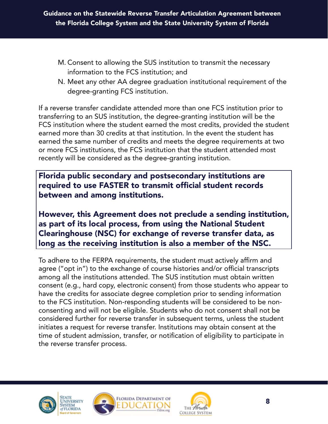- M. Consent to allowing the SUS institution to transmit the necessary information to the FCS institution; and
- N. Meet any other AA degree graduation institutional requirement of the degree-granting FCS institution.

If a reverse transfer candidate attended more than one FCS institution prior to transferring to an SUS institution, the degree-granting institution will be the FCS institution where the student earned the most credits, provided the student earned more than 30 credits at that institution. In the event the student has earned the same number of credits and meets the degree requirements at two or more FCS institutions, the FCS institution that the student attended most recently will be considered as the degree-granting institution.

Florida public secondary and postsecondary institutions are required to use FASTER to transmit official student records between and among institutions.

However, this Agreement does not preclude a sending institution, as part of its local process, from using the National Student Clearinghouse (NSC) for exchange of reverse transfer data, as long as the receiving institution is also a member of the NSC.

To adhere to the FERPA requirements, the student must actively affirm and agree ("opt in") to the exchange of course histories and/or official transcripts among all the institutions attended. The SUS institution must obtain written consent (e.g., hard copy, electronic consent) from those students who appear to have the credits for associate degree completion prior to sending information to the FCS institution. Non-responding students will be considered to be nonconsenting and will not be eligible. Students who do not consent shall not be considered further for reverse transfer in subsequent terms, unless the student initiates a request for reverse transfer. Institutions may obtain consent at the time of student admission, transfer, or notification of eligibility to participate in the reverse transfer process.





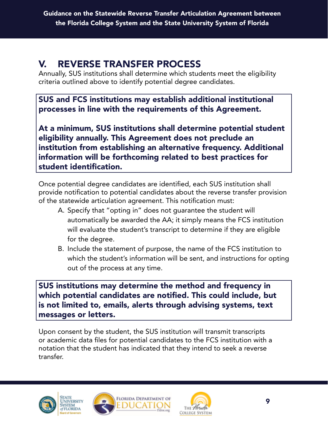# V. REVERSE TRANSFER PROCESS

Annually, SUS institutions shall determine which students meet the eligibility criteria outlined above to identify potential degree candidates.

SUS and FCS institutions may establish additional institutional processes in line with the requirements of this Agreement.

At a minimum, SUS institutions shall determine potential student eligibility annually. This Agreement does not preclude an institution from establishing an alternative frequency. Additional information will be forthcoming related to best practices for student identification.

Once potential degree candidates are identified, each SUS institution shall provide notification to potential candidates about the reverse transfer provision of the statewide articulation agreement. This notification must:

- A. Specify that "opting in" does not guarantee the student will automatically be awarded the AA; it simply means the FCS institution will evaluate the student's transcript to determine if they are eligible for the degree.
- B. Include the statement of purpose, the name of the FCS institution to which the student's information will be sent, and instructions for opting out of the process at any time.

SUS institutions may determine the method and frequency in which potential candidates are notified. This could include, but is not limited to, emails, alerts through advising systems, text messages or letters.

Upon consent by the student, the SUS institution will transmit transcripts or academic data files for potential candidates to the FCS institution with a notation that the student has indicated that they intend to seek a reverse transfer.





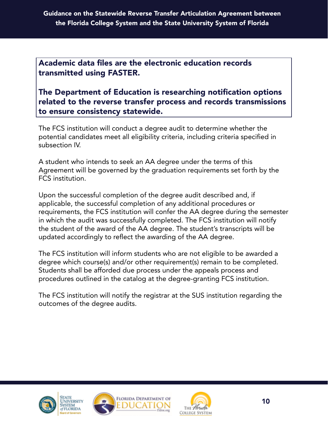Academic data files are the electronic education records transmitted using FASTER.

The Department of Education is researching notification options related to the reverse transfer process and records transmissions to ensure consistency statewide.

The FCS institution will conduct a degree audit to determine whether the potential candidates meet all eligibility criteria, including criteria specified in subsection IV.

A student who intends to seek an AA degree under the terms of this Agreement will be governed by the graduation requirements set forth by the FCS institution.

Upon the successful completion of the degree audit described and, if applicable, the successful completion of any additional procedures or requirements, the FCS institution will confer the AA degree during the semester in which the audit was successfully completed. The FCS institution will notify the student of the award of the AA degree. The student's transcripts will be updated accordingly to reflect the awarding of the AA degree.

The FCS institution will inform students who are not eligible to be awarded a degree which course(s) and/or other requirement(s) remain to be completed. Students shall be afforded due process under the appeals process and procedures outlined in the catalog at the degree-granting FCS institution.

The FCS institution will notify the registrar at the SUS institution regarding the outcomes of the degree audits.





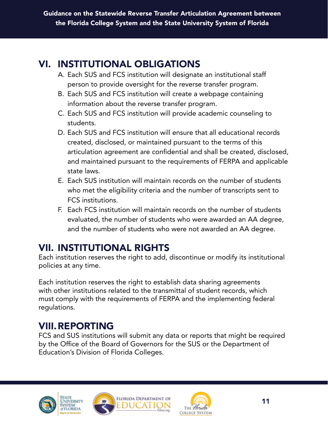# VI. INSTITUTIONAL OBLIGATIONS

- A. Each SUS and FCS institution will designate an institutional staff person to provide oversight for the reverse transfer program.
- B. Each SUS and FCS institution will create a webpage containing information about the reverse transfer program.
- C. Each SUS and FCS institution will provide academic counseling to students.
- D. Each SUS and FCS institution will ensure that all educational records created, disclosed, or maintained pursuant to the terms of this articulation agreement are confidential and shall be created, disclosed, and maintained pursuant to the requirements of FERPA and applicable state laws.
- E. Each SUS institution will maintain records on the number of students who met the eligibility criteria and the number of transcripts sent to FCS institutions.
- F. Each FCS institution will maintain records on the number of students evaluated, the number of students who were awarded an AA degree, and the number of students who were not awarded an AA degree.

## VII. INSTITUTIONAL RIGHTS

Each institution reserves the right to add, discontinue or modify its institutional policies at any time.

Each institution reserves the right to establish data sharing agreements with other institutions related to the transmittal of student records, which must comply with the requirements of FERPA and the implementing federal regulations.

## VIII.REPORTING

FCS and SUS institutions will submit any data or reports that might be required by the Office of the Board of Governors for the SUS or the Department of Education's Division of Florida Colleges.





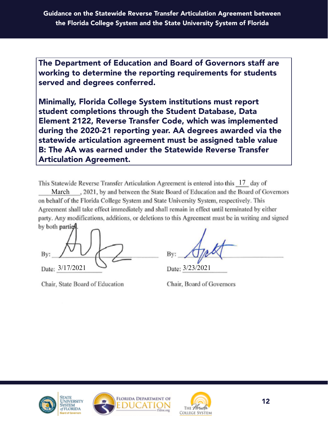The Department of Education and Board of Governors staff are working to determine the reporting requirements for students served and degrees conferred.

Minimally, Florida College System institutions must report student completions through the Student Database, Data Element 2122, Reverse Transfer Code, which was implemented during the 2020-21 reporting year. AA degrees awarded via the statewide articulation agreement must be assigned table value B: The AA was earned under the Statewide Reverse Transfer Articulation Agreement.

This Statewide Reverse Transfer Articulation Agreement is entered into this 17 day of

March . 2021, by and between the State Board of Education and the Board of Governors on behalf of the Florida College System and State University System, respectively. This Agreement shall take effect immediately and shall remain in effect until terminated by either party. Any modifications, additions, or deletions to this Agreement must be in writing and signed by both partic

Bv: Date: 3/17/2021

Chair, State Board of Education

Date: 3/23/2021

Chair, Board of Governors





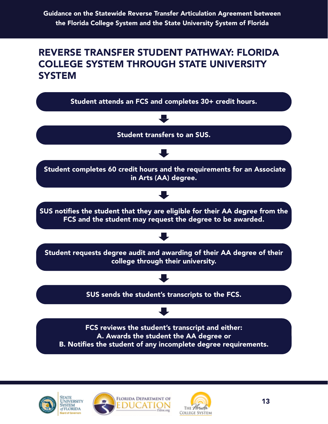#### <span id="page-13-0"></span>REVERSE TRANSFER STUDENT PATHWAY: FLORIDA COLLEGE SYSTEM THROUGH STATE UNIVERSITY **SYSTEM**







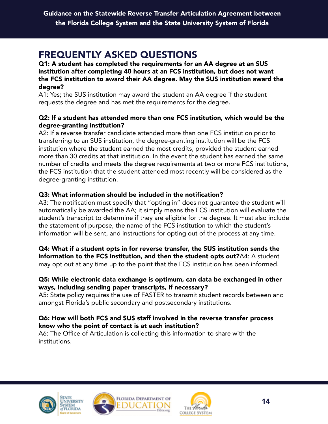## <span id="page-14-0"></span>FREQUENTLY ASKED QUESTIONS

Q1: A student has completed the requirements for an AA degree at an SUS institution after completing 40 hours at an FCS institution, but does not want the FCS institution to award their AA degree. May the SUS institution award the degree?

A1: Yes; the SUS institution may award the student an AA degree if the student requests the degree and has met the requirements for the degree.

#### Q2: If a student has attended more than one FCS institution, which would be the degree-granting institution?

A2: If a reverse transfer candidate attended more than one FCS institution prior to transferring to an SUS institution, the degree-granting institution will be the FCS institution where the student earned the most credits, provided the student earned more than 30 credits at that institution. In the event the student has earned the same number of credits and meets the degree requirements at two or more FCS institutions, the FCS institution that the student attended most recently will be considered as the degree-granting institution.

#### Q3: What information should be included in the notification?

A3: The notification must specify that "opting in" does not guarantee the student will automatically be awarded the AA; it simply means the FCS institution will evaluate the student's transcript to determine if they are eligible for the degree. It must also include the statement of purpose, the name of the FCS institution to which the student's information will be sent, and instructions for opting out of the process at any time.

Q4: What if a student opts in for reverse transfer, the SUS institution sends the information to the FCS institution, and then the student opts out?A4: A student may opt out at any time up to the point that the FCS institution has been informed.

#### Q5: While electronic data exchange is optimum, can data be exchanged in other ways, including sending paper transcripts, if necessary?

A5: State policy requires the use of FASTER to transmit student records between and amongst Florida's public secondary and postsecondary institutions.

#### Q6: How will both FCS and SUS staff involved in the reverse transfer process know who the point of contact is at each institution?

A6: The Office of Articulation is collecting this information to share with the institutions.







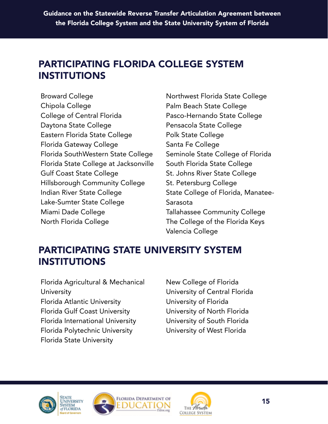## <span id="page-15-0"></span>PARTICIPATING FLORIDA COLLEGE SYSTEM INSTITUTIONS

Broward College Chipola College College of Central Florida Daytona State College Eastern Florida State College Florida Gateway College Florida SouthWestern State College Florida State College at Jacksonville Gulf Coast State College Hillsborough Community College Indian River State College Lake-Sumter State College Miami Dade College North Florida College

Northwest Florida State College Palm Beach State College Pasco-Hernando State College Pensacola State College Polk State College Santa Fe College Seminole State College of Florida South Florida State College St. Johns River State College St. Petersburg College State College of Florida, Manatee-Sarasota Tallahassee Community College The College of the Florida Keys Valencia College

# PARTICIPATING STATE UNIVERSITY SYSTEM INSTITUTIONS

Florida Agricultural & Mechanical **University** Florida Atlantic University Florida Gulf Coast University Florida International University Florida Polytechnic University Florida State University

New College of Florida University of Central Florida University of Florida University of North Florida University of South Florida University of West Florida